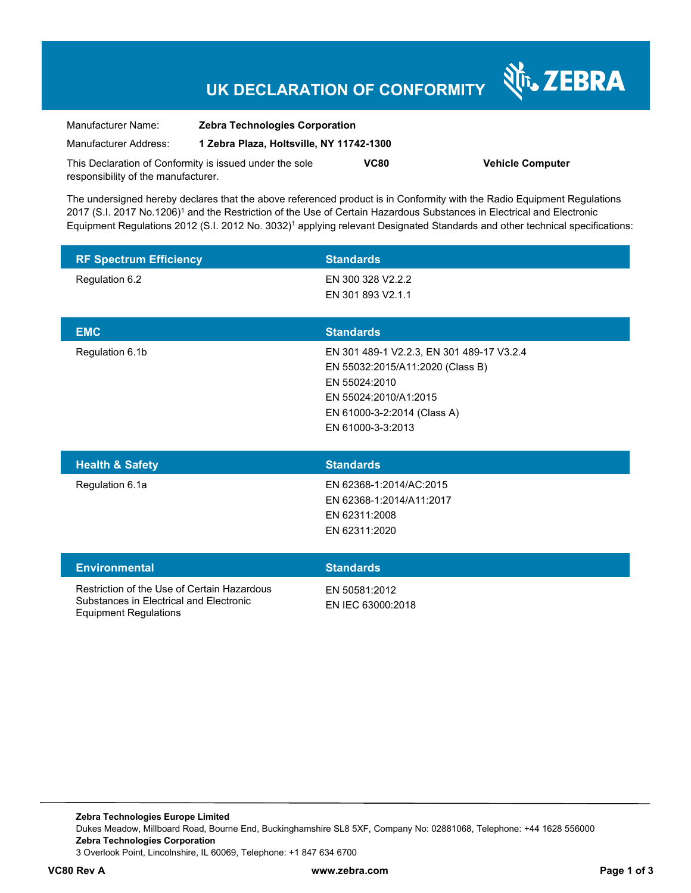### **UK DECLARATION OF CONFORMITY**

N<sub>T</sub>, ZEBRA

| Manufacturer Name:                                      | <b>Zebra Technologies Corporation</b>    |      |                         |
|---------------------------------------------------------|------------------------------------------|------|-------------------------|
| Manufacturer Address:                                   | 1 Zebra Plaza, Holtsville, NY 11742-1300 |      |                         |
| This Declaration of Conformity is issued under the sole |                                          | VC80 | <b>Vehicle Computer</b> |
| responsibility of the manufacturer.                     |                                          |      |                         |

The undersigned hereby declares that the above referenced product is in Conformity with the Radio Equipment Regulations 2017 (S.I. 2017 No.1206)<sup>1</sup> and the Restriction of the Use of Certain Hazardous Substances in Electrical and Electronic Equipment Regulations 2012 (S.I. 2012 No. 3032)<sup>1</sup> applying relevant Designated Standards and other technical specifications:

| <b>RF Spectrum Efficiency</b> | <b>Standards</b>                                                                                                                                                            |
|-------------------------------|-----------------------------------------------------------------------------------------------------------------------------------------------------------------------------|
| Regulation 6.2                | EN 300 328 V2.2.2<br>EN 301 893 V2.1.1                                                                                                                                      |
| <b>EMC</b>                    | <b>Standards</b>                                                                                                                                                            |
| Regulation 6.1b               | EN 301 489-1 V2.2.3, EN 301 489-17 V3.2.4<br>EN 55032:2015/A11:2020 (Class B)<br>EN 55024:2010<br>EN 55024:2010/A1:2015<br>EN 61000-3-2:2014 (Class A)<br>EN 61000-3-3:2013 |
| <b>Health &amp; Safety</b>    | <b>Standards</b>                                                                                                                                                            |
| Regulation 6.1a               | EN 62368-1:2014/AC:2015<br>EN 62368-1:2014/A11:2017<br>EN 62311:2008<br>EN 62311:2020                                                                                       |

| <b>Environmental</b> |  |
|----------------------|--|
|                      |  |

**Standards** 

Restriction of the Use of Certain Hazardous Substances in Electrical and Electronic Equipment Regulations

EN 50581:2012 EN IEC 63000:2018

**Zebra Technologies Europe Limited**  Dukes Meadow, Millboard Road, Bourne End, Buckinghamshire SL8 5XF, Company No: 02881068, Telephone: +44 1628 556000 **Zebra Technologies Corporation**  3 Overlook Point, Lincolnshire, IL 60069, Telephone: +1 847 634 6700

**VC80 Rev A www.zebra.com Page 1 of 3**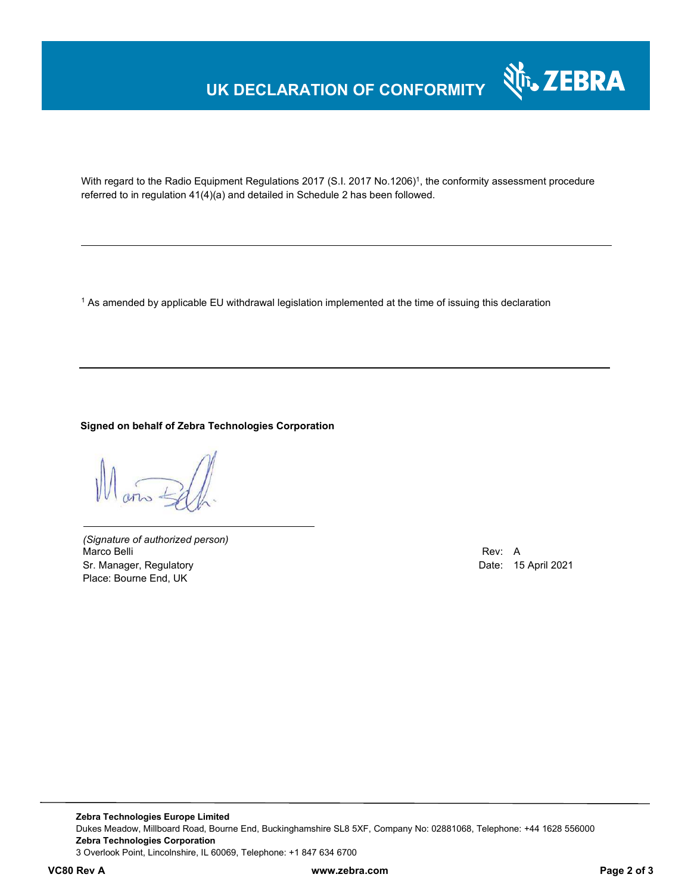# **UK DECLARATION OF CONFORMITY**



With regard to the Radio Equipment Regulations 2017 (S.I. 2017 No.1206)<sup>1</sup>, the conformity assessment procedure referred to in regulation 41(4)(a) and detailed in Schedule 2 has been followed.

 $^{\rm 1}$  As amended by applicable EU withdrawal legislation implemented at the time of issuing this declaration

**Signed on behalf of Zebra Technologies Corporation** 

*(Signature of authorized person)* Marco Belli Rev: A Annual Rev: A Annual Rev: A Annual Rev: A Annual Rev: A Annual Rev: A Annual Rev: A Annual Rev Sr. Manager, Regulatory **Date: 15 April 2021** Place: Bourne End, UK